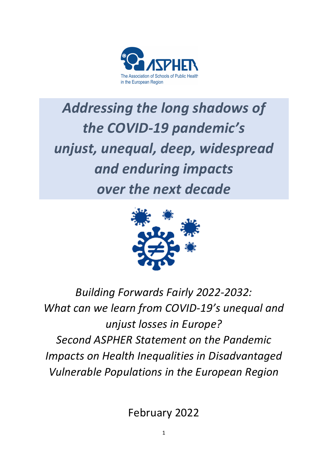

# Addressing the long shadows of the COVID-19 pandemic's *unjust, unequal, deep, widespread and enduring impacts <u>over the next decade</u>*



# Building Forwards Fairly 2022-2032: What can we learn from COVID-19's unequal and *unjust losses in Europe? Second ASPHER Statement on the Pandemic Impacts on Health Inequalities in Disadvantaged Vulnerable Populations in the European Region*

February 2022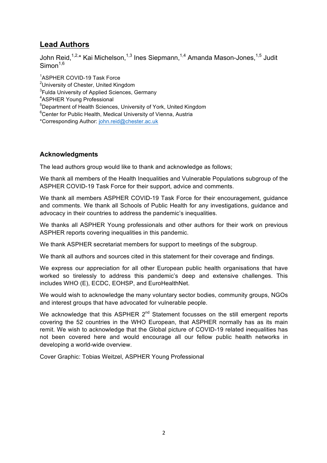# **Lead Authors**

John Reid,<sup>1,2,</sup>\* Kai Michelson,<sup>1,3</sup> Ines Siepmann,<sup>1,4</sup> Amanda Mason-Jones,<sup>1,5</sup> Judit  $Simon<sup>1,6</sup>$ 

1 ASPHER COVID-19 Task Force

<sup>2</sup>University of Chester, United Kingdom

<sup>3</sup>Fulda University of Applied Sciences, Germany

4 ASPHER Young Professional

<sup>5</sup>Department of Health Sciences, University of York, United Kingdom

6 Center for Public Health, Medical University of Vienna, Austria

\*Corresponding Author: john.reid@chester.ac.uk

#### **Acknowledgments**

The lead authors group would like to thank and acknowledge as follows;

We thank all members of the Health Inequalities and Vulnerable Populations subgroup of the ASPHER COVID-19 Task Force for their support, advice and comments.

We thank all members ASPHER COVID-19 Task Force for their encouragement, guidance and comments. We thank all Schools of Public Health for any investigations, guidance and advocacy in their countries to address the pandemic's inequalities.

We thanks all ASPHER Young professionals and other authors for their work on previous ASPHER reports covering inequalities in this pandemic.

We thank ASPHER secretariat members for support to meetings of the subgroup.

We thank all authors and sources cited in this statement for their coverage and findings.

We express our appreciation for all other European public health organisations that have worked so tirelessly to address this pandemic's deep and extensive challenges. This includes WHO (E), ECDC, EOHSP, and EuroHealthNet.

We would wish to acknowledge the many voluntary sector bodies, community groups, NGOs and interest groups that have advocated for vulnerable people.

We acknowledge that this ASPHER  $2^{nd}$  Statement focusses on the still emergent reports covering the 52 countries in the WHO European, that ASPHER normally has as its main remit. We wish to acknowledge that the Global picture of COVID-19 related inequalities has not been covered here and would encourage all our fellow public health networks in developing a world-wide overview.

Cover Graphic: Tobias Weitzel, ASPHER Young Professional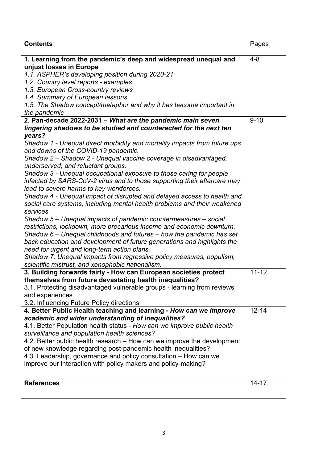| 1. Learning from the pandemic's deep and widespread unequal and<br>$4 - 8$<br>unjust losses in Europe<br>1.1. ASPHER's developing position during 2020-21<br>1.2. Country level reports - examples<br>1.3. European Cross-country reviews<br>1.4. Summary of European lessons<br>1.5. The Shadow concept/metaphor and why it has become important in<br>the pandemic<br>$9 - 10$<br>2. Pan-decade 2022-2031 - What are the pandemic main seven<br>lingering shadows to be studied and counteracted for the next ten<br>years?<br>Shadow 1 - Unequal direct morbidity and mortality impacts from future ups<br>and downs of the COVID-19 pandemic.<br>Shadow 2 - Shadow 2 - Unequal vaccine coverage in disadvantaged,<br>underserved, and reluctant groups.<br>Shadow 3 - Unequal occupational exposure to those caring for people<br>infected by SARS-CoV-2 virus and to those supporting their aftercare may<br>lead to severe harms to key workforces.<br>Shadow 4 - Unequal impact of disrupted and delayed access to health and<br>social care systems, including mental health problems and their weakened<br>services.<br>Shadow 5 – Unequal impacts of pandemic countermeasures – social<br>restrictions, lockdown, more precarious income and economic downturn.<br>Shadow 6 – Unequal childhoods and futures – how the pandemic has set |
|---------------------------------------------------------------------------------------------------------------------------------------------------------------------------------------------------------------------------------------------------------------------------------------------------------------------------------------------------------------------------------------------------------------------------------------------------------------------------------------------------------------------------------------------------------------------------------------------------------------------------------------------------------------------------------------------------------------------------------------------------------------------------------------------------------------------------------------------------------------------------------------------------------------------------------------------------------------------------------------------------------------------------------------------------------------------------------------------------------------------------------------------------------------------------------------------------------------------------------------------------------------------------------------------------------------------------------------------------|
|                                                                                                                                                                                                                                                                                                                                                                                                                                                                                                                                                                                                                                                                                                                                                                                                                                                                                                                                                                                                                                                                                                                                                                                                                                                                                                                                                   |
|                                                                                                                                                                                                                                                                                                                                                                                                                                                                                                                                                                                                                                                                                                                                                                                                                                                                                                                                                                                                                                                                                                                                                                                                                                                                                                                                                   |
|                                                                                                                                                                                                                                                                                                                                                                                                                                                                                                                                                                                                                                                                                                                                                                                                                                                                                                                                                                                                                                                                                                                                                                                                                                                                                                                                                   |
|                                                                                                                                                                                                                                                                                                                                                                                                                                                                                                                                                                                                                                                                                                                                                                                                                                                                                                                                                                                                                                                                                                                                                                                                                                                                                                                                                   |
|                                                                                                                                                                                                                                                                                                                                                                                                                                                                                                                                                                                                                                                                                                                                                                                                                                                                                                                                                                                                                                                                                                                                                                                                                                                                                                                                                   |
|                                                                                                                                                                                                                                                                                                                                                                                                                                                                                                                                                                                                                                                                                                                                                                                                                                                                                                                                                                                                                                                                                                                                                                                                                                                                                                                                                   |
|                                                                                                                                                                                                                                                                                                                                                                                                                                                                                                                                                                                                                                                                                                                                                                                                                                                                                                                                                                                                                                                                                                                                                                                                                                                                                                                                                   |
|                                                                                                                                                                                                                                                                                                                                                                                                                                                                                                                                                                                                                                                                                                                                                                                                                                                                                                                                                                                                                                                                                                                                                                                                                                                                                                                                                   |
|                                                                                                                                                                                                                                                                                                                                                                                                                                                                                                                                                                                                                                                                                                                                                                                                                                                                                                                                                                                                                                                                                                                                                                                                                                                                                                                                                   |
|                                                                                                                                                                                                                                                                                                                                                                                                                                                                                                                                                                                                                                                                                                                                                                                                                                                                                                                                                                                                                                                                                                                                                                                                                                                                                                                                                   |
|                                                                                                                                                                                                                                                                                                                                                                                                                                                                                                                                                                                                                                                                                                                                                                                                                                                                                                                                                                                                                                                                                                                                                                                                                                                                                                                                                   |
|                                                                                                                                                                                                                                                                                                                                                                                                                                                                                                                                                                                                                                                                                                                                                                                                                                                                                                                                                                                                                                                                                                                                                                                                                                                                                                                                                   |
|                                                                                                                                                                                                                                                                                                                                                                                                                                                                                                                                                                                                                                                                                                                                                                                                                                                                                                                                                                                                                                                                                                                                                                                                                                                                                                                                                   |
|                                                                                                                                                                                                                                                                                                                                                                                                                                                                                                                                                                                                                                                                                                                                                                                                                                                                                                                                                                                                                                                                                                                                                                                                                                                                                                                                                   |
|                                                                                                                                                                                                                                                                                                                                                                                                                                                                                                                                                                                                                                                                                                                                                                                                                                                                                                                                                                                                                                                                                                                                                                                                                                                                                                                                                   |
|                                                                                                                                                                                                                                                                                                                                                                                                                                                                                                                                                                                                                                                                                                                                                                                                                                                                                                                                                                                                                                                                                                                                                                                                                                                                                                                                                   |
|                                                                                                                                                                                                                                                                                                                                                                                                                                                                                                                                                                                                                                                                                                                                                                                                                                                                                                                                                                                                                                                                                                                                                                                                                                                                                                                                                   |
|                                                                                                                                                                                                                                                                                                                                                                                                                                                                                                                                                                                                                                                                                                                                                                                                                                                                                                                                                                                                                                                                                                                                                                                                                                                                                                                                                   |
|                                                                                                                                                                                                                                                                                                                                                                                                                                                                                                                                                                                                                                                                                                                                                                                                                                                                                                                                                                                                                                                                                                                                                                                                                                                                                                                                                   |
|                                                                                                                                                                                                                                                                                                                                                                                                                                                                                                                                                                                                                                                                                                                                                                                                                                                                                                                                                                                                                                                                                                                                                                                                                                                                                                                                                   |
|                                                                                                                                                                                                                                                                                                                                                                                                                                                                                                                                                                                                                                                                                                                                                                                                                                                                                                                                                                                                                                                                                                                                                                                                                                                                                                                                                   |
|                                                                                                                                                                                                                                                                                                                                                                                                                                                                                                                                                                                                                                                                                                                                                                                                                                                                                                                                                                                                                                                                                                                                                                                                                                                                                                                                                   |
|                                                                                                                                                                                                                                                                                                                                                                                                                                                                                                                                                                                                                                                                                                                                                                                                                                                                                                                                                                                                                                                                                                                                                                                                                                                                                                                                                   |
|                                                                                                                                                                                                                                                                                                                                                                                                                                                                                                                                                                                                                                                                                                                                                                                                                                                                                                                                                                                                                                                                                                                                                                                                                                                                                                                                                   |
| back education and development of future generations and highlights the                                                                                                                                                                                                                                                                                                                                                                                                                                                                                                                                                                                                                                                                                                                                                                                                                                                                                                                                                                                                                                                                                                                                                                                                                                                                           |
| need for urgent and long-term action plans.                                                                                                                                                                                                                                                                                                                                                                                                                                                                                                                                                                                                                                                                                                                                                                                                                                                                                                                                                                                                                                                                                                                                                                                                                                                                                                       |
| Shadow 7: Unequal impacts from regressive policy measures, populism,                                                                                                                                                                                                                                                                                                                                                                                                                                                                                                                                                                                                                                                                                                                                                                                                                                                                                                                                                                                                                                                                                                                                                                                                                                                                              |
| scientific mistrust, and xenophobic nationalism.                                                                                                                                                                                                                                                                                                                                                                                                                                                                                                                                                                                                                                                                                                                                                                                                                                                                                                                                                                                                                                                                                                                                                                                                                                                                                                  |
| $11 - 12$<br>3. Building forwards fairly - How can European societies protect                                                                                                                                                                                                                                                                                                                                                                                                                                                                                                                                                                                                                                                                                                                                                                                                                                                                                                                                                                                                                                                                                                                                                                                                                                                                     |
| themselves from future devastating health inequalities?                                                                                                                                                                                                                                                                                                                                                                                                                                                                                                                                                                                                                                                                                                                                                                                                                                                                                                                                                                                                                                                                                                                                                                                                                                                                                           |
| 3.1. Protecting disadvantaged vulnerable groups - learning from reviews                                                                                                                                                                                                                                                                                                                                                                                                                                                                                                                                                                                                                                                                                                                                                                                                                                                                                                                                                                                                                                                                                                                                                                                                                                                                           |
| and experiences                                                                                                                                                                                                                                                                                                                                                                                                                                                                                                                                                                                                                                                                                                                                                                                                                                                                                                                                                                                                                                                                                                                                                                                                                                                                                                                                   |
| 3.2. Influencing Future Policy directions                                                                                                                                                                                                                                                                                                                                                                                                                                                                                                                                                                                                                                                                                                                                                                                                                                                                                                                                                                                                                                                                                                                                                                                                                                                                                                         |
| 4. Better Public Health teaching and learning - How can we improve<br>$12 - 14$                                                                                                                                                                                                                                                                                                                                                                                                                                                                                                                                                                                                                                                                                                                                                                                                                                                                                                                                                                                                                                                                                                                                                                                                                                                                   |
| academic and wider understanding of inequalities?                                                                                                                                                                                                                                                                                                                                                                                                                                                                                                                                                                                                                                                                                                                                                                                                                                                                                                                                                                                                                                                                                                                                                                                                                                                                                                 |
| 4.1. Better Population health status - How can we improve public health                                                                                                                                                                                                                                                                                                                                                                                                                                                                                                                                                                                                                                                                                                                                                                                                                                                                                                                                                                                                                                                                                                                                                                                                                                                                           |
| surveillance and population health sciences?                                                                                                                                                                                                                                                                                                                                                                                                                                                                                                                                                                                                                                                                                                                                                                                                                                                                                                                                                                                                                                                                                                                                                                                                                                                                                                      |
| 4.2. Better public health research – How can we improve the development                                                                                                                                                                                                                                                                                                                                                                                                                                                                                                                                                                                                                                                                                                                                                                                                                                                                                                                                                                                                                                                                                                                                                                                                                                                                           |
| of new knowledge regarding post-pandemic health inequalities?                                                                                                                                                                                                                                                                                                                                                                                                                                                                                                                                                                                                                                                                                                                                                                                                                                                                                                                                                                                                                                                                                                                                                                                                                                                                                     |
| 4.3. Leadership, governance and policy consultation – How can we                                                                                                                                                                                                                                                                                                                                                                                                                                                                                                                                                                                                                                                                                                                                                                                                                                                                                                                                                                                                                                                                                                                                                                                                                                                                                  |
| improve our interaction with policy makers and policy-making?                                                                                                                                                                                                                                                                                                                                                                                                                                                                                                                                                                                                                                                                                                                                                                                                                                                                                                                                                                                                                                                                                                                                                                                                                                                                                     |
|                                                                                                                                                                                                                                                                                                                                                                                                                                                                                                                                                                                                                                                                                                                                                                                                                                                                                                                                                                                                                                                                                                                                                                                                                                                                                                                                                   |
| $14 - 17$<br><b>References</b>                                                                                                                                                                                                                                                                                                                                                                                                                                                                                                                                                                                                                                                                                                                                                                                                                                                                                                                                                                                                                                                                                                                                                                                                                                                                                                                    |
|                                                                                                                                                                                                                                                                                                                                                                                                                                                                                                                                                                                                                                                                                                                                                                                                                                                                                                                                                                                                                                                                                                                                                                                                                                                                                                                                                   |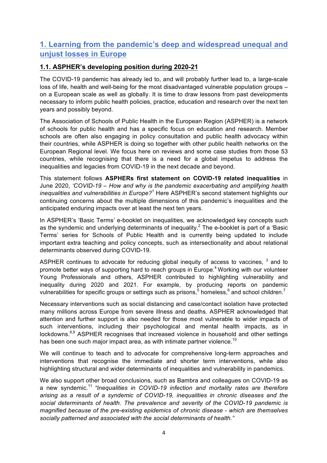# **1. Learning from the pandemic's deep and widespread unequal and unjust losses in Europe**

#### **1.1. ASPHER's developing position during 2020-21**

The COVID-19 pandemic has already led to, and will probably further lead to, a large-scale loss of life, health and well-being for the most disadvantaged vulnerable population groups – on a European scale as well as globally. It is time to draw lessons from past developments necessary to inform public health policies, practice, education and research over the next ten years and possibly beyond.

The Association of Schools of Public Health in the European Region (ASPHER) is a network of schools for public health and has a specific focus on education and research. Member schools are often also engaging in policy consultation and public health advocacy within their countries, while ASPHER is doing so together with other public health networks on the European Regional level. We focus here on reviews and some case studies from those 53 countries, while recognising that there is a need for a global impetus to address the inequalities and legacies from COVID-19 in the next decade and beyond.

This statement follows **ASPHERs first statement on COVID-19 related inequalities** in June 2020, *'COVID-19 – How and why is the pandemic exacerbating and amplifying health inequalities and vulnerabilities in Europe?<sup>1</sup>* Here ASPHER's second statement highlights our continuing concerns about the multiple dimensions of this pandemic's inequalities and the anticipated enduring impacts over at least the next ten years.

In ASPHER's 'Basic Terms' e-booklet on inequalities, we acknowledged key concepts such as the syndemic and underlying determinants of inequality.<sup>2</sup> The e-booklet is part of a 'Basic Terms' series for Schools of Public Health and is currently being updated to include important extra teaching and policy concepts, such as intersectionality and about relational determinants observed during COVID-19.

ASPHER continues to advocate for reducing global inequity of access to vaccines,  $3$  and to promote better ways of supporting hard to reach groups in Europe.<sup>4</sup> Working with our volunteer Young Professionals and others, ASPHER contributed to highlighting vulnerability and inequality during 2020 and 2021. For example, by producing reports on pandemic vulnerabilities for specific groups or settings such as prisons,<sup>5</sup> homeless,<sup>6</sup> and school children.<sup>7</sup>

Necessary interventions such as social distancing and case/contact isolation have protected many millions across Europe from severe illness and deaths. ASPHER acknowledged that attention and further support is also needed for those most vulnerable to wider impacts of such interventions, including their psychological and mental health impacts, as in lockdowns.<sup>8,9</sup> ASPHER recognises that increased violence in household and other settings has been one such major impact area, as with intimate partner violence.<sup>10</sup>

We will continue to teach and to advocate for comprehensive long-term approaches and interventions that recognise the immediate and shorter term interventions, while also highlighting structural and wider determinants of inequalities and vulnerability in pandemics.

We also support other broad conclusions, such as Bambra and colleagues on COVID-19 as a new syndemic. <sup>11</sup> *"Inequalities in COVID-19 infection and mortality rates are therefore arising as a result of a syndemic of COVID-19, inequalities in chronic diseases and the social determinants of health. The prevalence and severity of the COVID-19 pandemic is magnified because of the pre-existing epidemics of chronic disease - which are themselves socially patterned and associated with the social determinants of health."*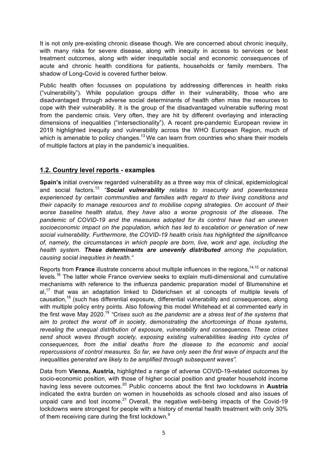It is not only pre-existing chronic disease though. We are concerned about chronic inequity, with many risks for severe disease, along with inequity in access to services or best treatment outcomes, along with wider inequitable social and economic consequences of acute and chronic health conditions for patients, households or family members. The shadow of Long-Covid is covered further below.

Public health often focusses on populations by addressing differences in health risks ("vulnerability"). While population groups differ in their vulnerability, those who are disadvantaged through adverse social determinants of health often miss the resources to cope with their vulnerability. It is the group of the disadvantaged vulnerable suffering most from the pandemic crisis. Very often, they are hit by different overlaying and interacting dimensions of inequalities ("intersectionality"). A recent pre-pandemic European review in 2019 highlighted inequity and vulnerability across the WHO European Region, much of which is amenable to policy changes.<sup>13</sup> We can learn from countries who share their models of multiple factors at play in the pandemic's inequalities.

#### **1.2. Country level reports - examples**

**Spain's** initial overview regarded vulnerability as a three way mix of clinical, epidemiological and social factors.<sup>13</sup> "**Social vulnerability** relates to insecurity and powerlessness *experienced by certain communities and families with regard to their living conditions and their capacity to manage resources and to mobilise coping strategies. On account of their worse baseline health status, they have also a worse prognosis of the disease. The pandemic of COVID-19 and the measures adopted for its control have had an uneven socioeconomic impact on the population, which has led to escalation or generation of new social vulnerability. Furthermore, the COVID-19 health crisis has highlighted the significance of, namely, the circumstances in which people are born, live, work and age, including the health system. These determinants are unevenly distributed among the population, causing social inequities in health."*

Reports from France illustrate concerns about multiple influences in the regions,<sup>14,15</sup> or national levels.<sup>16</sup> The latter whole France overview seeks to explain multi-dimensional and cumulative mechanisms with reference to the influenza pandemic preparation model of Blumenshine et al,<sup>17</sup> that was an adaptation linked to Diderichsen et al concepts of multiple levels of causation,<sup>18</sup> (such has differential exposure, differential vulnerability and consequences, along with multiple policy entry points. Also following this model Whitehead et al commented early in the first wave May 2020. <sup>19</sup> *"Crises such as the pandemic are a stress test of the systems that aim to protect the worst off in society, demonstrating the shortcomings of those systems, revealing the unequal distribution of exposure, vulnerability and consequences. These crises send shock waves through society, exposing existing vulnerabilities leading into cycles of consequences, from the initial deaths from the disease to the economic and social repercussions of control measures. So far, we have only seen the first wave of impacts and the inequalities generated are likely to be amplified through subsequent waves".*

Data from **Vienna, Austria,** highlighted a range of adverse COVID-19-related outcomes by socio-economic position, with those of higher social position and greater household income having less severe outcomes.<sup>20</sup> Public concerns about the first two lockdowns in **Austria** indicated the extra burden on women in households as schools closed and also issues of unpaid care and lost income. $21$  Overall, the negative well-being impacts of the Covid-19 lockdowns were strongest for people with a history of mental health treatment with only 30% of them receiving care during the first lockdown. $^{9}$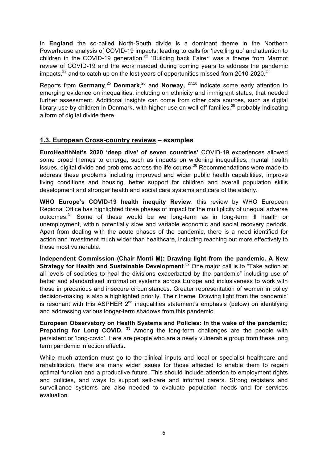In **England** the so-called North-South divide is a dominant theme in the Northern Powerhouse analysis of COVID-19 impacts, leading to calls for 'levelling up' and attention to children in the COVID-19 generation.<sup>22</sup> 'Building back Fairer' was a theme from Marmot review of COVID-19 and the work needed during coming years to address the pandemic impacts, $^{23}$  and to catch up on the lost years of opportunities missed from 2010-2020.<sup>24</sup>

Reports from **Germany**, <sup>25</sup> **Denmark**, <sup>26</sup> and **Norway,** 27,28 indicate some early attention to emerging evidence on inequalities, including on ethnicity and immigrant status, that needed further assessment. Additional insights can come from other data sources, such as digital library use by children in Denmark, with higher use on well off families.<sup>29</sup> probably indicating a form of digital divide there.

#### **1.3. European Cross-country reviews – examples**

**EuroHealthNet's 2020 'deep dive' of seven countries'** COVID-19 experiences allowed some broad themes to emerge, such as impacts on widening inequalities, mental health issues, digital divide and problems across the life course.<sup>30</sup> Recommendations were made to address these problems including improved and wider public health capabilities, improve living conditions and housing, better support for children and overall population skills development and stronger health and social care systems and care of the elderly.

**WHO Europe's COVID-19 health inequity Review**: this review by WHO European Regional Office has highlighted three phases of impact for the multiplicity of unequal adverse outcomes.<sup>31</sup> Some of these would be we long-term as in long-term ill health or unemployment, within potentially slow and variable economic and social recovery periods. Apart from dealing with the acute phases of the pandemic, there is a need identified for action and investment much wider than healthcare, including reaching out more effectively to those most vulnerable.

**Independent Commission (Chair Monti M): Drawing light from the pandemic. A New Strategy for Health and Sustainable Development**. <sup>32</sup> One major call is to "Take action at all levels of societies to heal the divisions exacerbated by the pandemic" including use of better and standardised information systems across Europe and inclusiveness to work with those in precarious and insecure circumstances. Greater representation of women in policy decision-making is also a highlighted priority. Their theme 'Drawing light from the pandemic' is resonant with this ASPHER  $2^{nd}$  inequalities statement's emphasis (below) on identifying and addressing various longer-term shadows from this pandemic.

**European Observatory on Health Systems and Policies: In the wake of the pandemic; Preparing for Long COVID.** <sup>33</sup> Among the long-term challenges are the people with persistent or 'long-covid'. Here are people who are a newly vulnerable group from these long term pandemic infection effects.

While much attention must go to the clinical inputs and local or specialist healthcare and rehabilitation, there are many wider issues for those affected to enable them to regain optimal function and a productive future. This should include attention to employment rights and policies, and ways to support self-care and informal carers. Strong registers and surveillance systems are also needed to evaluate population needs and for services evaluation.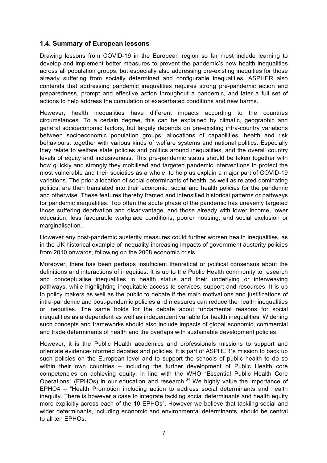#### **1.4. Summary of European lessons**

Drawing lessons from COVID-19 in the European region so far must include learning to develop and implement better measures to prevent the pandemic's new health inequalities across all population groups, but especially also addressing pre-existing inequities for those already suffering from socially determined and configurable inequalities. ASPHER also contends that addressing pandemic inequalities requires strong pre-pandemic action and preparedness, prompt and effective action throughout a pandemic, and later a full set of actions to help address the cumulation of exacerbated conditions and new harms.

However, health inequalities have different impacts according to the countries circumstances. To a certain degree, this can be explained by climatic, geographic and general socioeconomic factors, but largely depends on pre-existing intra-country variations between socioeconomic population groups, allocations of capabilities, health and risk behaviours, together with various kinds of welfare systems and national politics. Especially they relate to welfare state policies and politics around inequalities, and the overall country levels of equity and inclusiveness. This pre-pandemic status should be taken together with how quickly and strongly they mobilised and targeted pandemic interventions to protect the most vulnerable and their societies as a whole, to help us explain a major part of COVID-19 variations. The prior allocation of social determinants of health, as well as related dominating politics, are then translated into their economic, social and health policies for the pandemic and otherwise. These features thereby framed and intensified historical patterns or pathways for pandemic inequalities. Too often the acute phase of the pandemic has unevenly targeted those suffering deprivation and disadvantage, and those already with lower income, lower education, less favourable workplace conditions, poorer housing, and social exclusion or marginalisation.

However any post-pandemic austerity measures could further worsen health inequalities, as in the UK historical example of inequality-increasing impacts of government austerity policies from 2010 onwards, following on the 2008 economic crisis.

Moreover, there has been perhaps insufficient theoretical or political consensus about the definitions and interactions of inequities. It is up to the Public Health community to research and conceptualise inequalities in health status and their underlying or interweaving pathways, while highlighting inequitable access to services, support and resources. It is up to policy makers as well as the public to debate if the main motivations and justifications of intra-pandemic and post-pandemic policies and measures can reduce the health inequalities or inequities. The same holds for the debate about fundamental reasons for social inequalities as a dependent as well as independent variable for health inequalities. Widening such concepts and frameworks should also include impacts of global economic, commercial and trade determinants of health and the overlaps with sustainable development policies.

However, it is the Public Health academics and professionals missions to support and orientate evidence-informed debates and policies. It is part of ASPHER´s mission to back up such policies on the European level and to support the schools of public health to do so within their own countries – including the further development of Public Health core competencies on achieving equity, in line with the WHO "Essential Public Health Core Operations" (EPHOs) in our education and research.<sup>34</sup> We highly value the importance of EPHO4 – "Health Promotion including action to address social determinants and health inequity. There is however a case to integrate tackling social determinants and health equity more explicitly across each of the 10 EPHOs". However we believe that tackling social and wider determinants, including economic and environmental determinants, should be central to all ten EPHOs.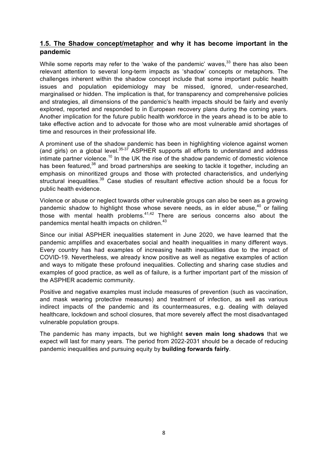#### **1.5. The Shadow concept/metaphor and why it has become important in the pandemic**

While some reports may refer to the 'wake of the pandemic' waves,<sup>33</sup> there has also been relevant attention to several long-term impacts as 'shadow' concepts or metaphors. The challenges inherent within the shadow concept include that some important public health issues and population epidemiology may be missed, ignored, under-researched, marginalised or hidden. The implication is that, for transparency and comprehensive policies and strategies, all dimensions of the pandemic's health impacts should be fairly and evenly explored, reported and responded to in European recovery plans during the coming years. Another implication for the future public health workforce in the years ahead is to be able to take effective action and to advocate for those who are most vulnerable amid shortages of time and resources in their professional life.

A prominent use of the shadow pandemic has been in highlighting violence against women (and girls) on a global level. $35-37$  ASPHER supports all efforts to understand and address intimate partner violence.<sup>10</sup> In the UK the rise of the shadow pandemic of domestic violence has been featured,<sup>38</sup> and broad partnerships are seeking to tackle it together, including an emphasis on minoritized groups and those with protected characteristics, and underlying structural inequalities.<sup>39</sup> Case studies of resultant effective action should be a focus for public health evidence.

Violence or abuse or neglect towards other vulnerable groups can also be seen as a growing pandemic shadow to highlight those whose severe needs, as in elder abuse.<sup>40</sup> or failing those with mental health problems. $41,42$  There are serious concerns also about the pandemics mental health impacts on children.<sup>43</sup>

Since our initial ASPHER inequalities statement in June 2020, we have learned that the pandemic amplifies and exacerbates social and health inequalities in many different ways. Every country has had examples of increasing health inequalities due to the impact of COVID-19. Nevertheless, we already know positive as well as negative examples of action and ways to mitigate these profound inequalities. Collecting and sharing case studies and examples of good practice, as well as of failure, is a further important part of the mission of the ASPHER academic community.

Positive and negative examples must include measures of prevention (such as vaccination, and mask wearing protective measures) and treatment of infection, as well as various indirect impacts of the pandemic and its countermeasures, e.g. dealing with delayed healthcare, lockdown and school closures, that more severely affect the most disadvantaged vulnerable population groups.

The pandemic has many impacts, but we highlight **seven main long shadows** that we expect will last for many years. The period from 2022-2031 should be a decade of reducing pandemic inequalities and pursuing equity by **building forwards fairly**.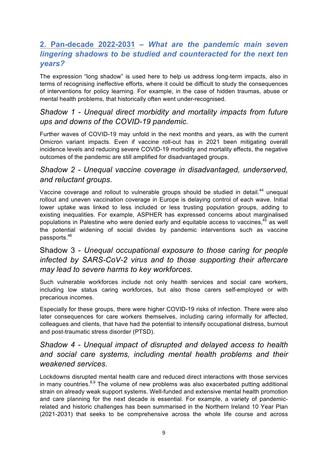# **2. Pan-decade 2022-2031 –** *What are the pandemic main seven lingering shadows to be studied and counteracted for the next ten years?*

The expression "long shadow" is used here to help us address long-term impacts, also in terms of recognising ineffective efforts, where it could be difficult to study the consequences of interventions for policy learning. For example, in the case of hidden traumas, abuse or mental health problems, that historically often went under-recognised.

#### *Shadow 1 - Unequal direct morbidity and mortality impacts from future ups and downs of the COVID-19 pandemic.*

Further waves of COVID-19 may unfold in the next months and years, as with the current Omicron variant impacts. Even if vaccine roll-out has in 2021 been mitigating overall incidence levels and reducing severe COVID-19 morbidity and mortality effects, the negative outcomes of the pandemic are still amplified for disadvantaged groups.

# *Shadow 2 - Unequal vaccine coverage in disadvantaged, underserved, and reluctant groups*.

Vaccine coverage and rollout to vulnerable groups should be studied in detail.<sup>44</sup> unequal rollout and uneven vaccination coverage in Europe is delaying control of each wave. Initial lower uptake was linked to less included or less trusting population groups, adding to existing inequalities. For example, ASPHER has expressed concerns about marginalised populations in Palestine who were denied early and equitable access to vaccines,  $45$  as well the potential widening of social divides by pandemic interventions such as vaccine passports.<sup>46</sup>

# Shadow 3 - *Unequal occupational exposure to those caring for people infected by SARS-CoV-2 virus and to those supporting their aftercare may lead to severe harms to key workforces.*

Such vulnerable workforces include not only health services and social care workers, including low status caring workforces, but also those carers self-employed or with precarious incomes.

Especially for these groups, there were higher COVID-19 risks of infection. There were also later consequences for care workers themselves, including caring informally for affected, colleagues and clients, that have had the potential to intensify occupational distress, burnout and post-traumatic stress disorder (PTSD).

# *Shadow 4 - Unequal impact of disrupted and delayed access to health and social care systems, including mental health problems and their weakened services.*

Lockdowns disrupted mental health care and reduced direct interactions with those services in many countries.<sup>8,9</sup> The volume of new problems was also exacerbated putting additional strain on already weak support systems. Well-funded and extensive mental health promotion and care planning for the next decade is essential. For example, a variety of pandemicrelated and historic challenges has been summarised in the Northern Ireland 10 Year Plan (2021-2031) that seeks to be comprehensive across the whole life course and across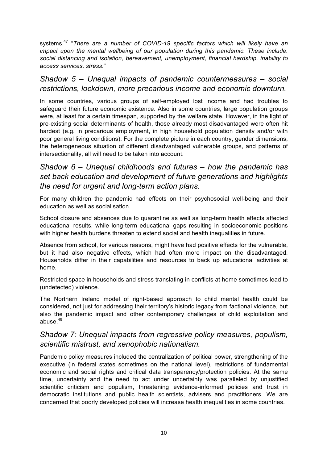systems.<sup>47</sup> "*There are a number of COVID-19 specific factors which will likely have an impact upon the mental wellbeing of our population during this pandemic. These include: social distancing and isolation, bereavement, unemployment, financial hardship, inability to access services, stress*.*"*

#### *Shadow 5 – Unequal impacts of pandemic countermeasures – social restrictions, lockdown, more precarious income and economic downturn.*

In some countries, various groups of self-employed lost income and had troubles to safeguard their future economic existence. Also in some countries, large population groups were, at least for a certain timespan, supported by the welfare state. However, in the light of pre-existing social determinants of health, those already most disadvantaged were often hit hardest (e.g. in precarious employment, in high household population density and/or with poor general living conditions). For the complete picture in each country, gender dimensions, the heterogeneous situation of different disadvantaged vulnerable groups, and patterns of intersectionality, all will need to be taken into account.

# *Shadow 6 – Unequal childhoods and futures – how the pandemic has set back education and development of future generations and highlights the need for urgent and long-term action plans.*

For many children the pandemic had effects on their psychosocial well-being and their education as well as socialisation.

School closure and absences due to quarantine as well as long-term health effects affected educational results, while long-term educational gaps resulting in socioeconomic positions with higher health burdens threaten to extend social and health inequalities in future.

Absence from school, for various reasons, might have had positive effects for the vulnerable, but it had also negative effects, which had often more impact on the disadvantaged. Households differ in their capabilities and resources to back up educational activities at home.

Restricted space in households and stress translating in conflicts at home sometimes lead to (undetected) violence.

The Northern Ireland model of right-based approach to child mental health could be considered, not just for addressing their territory's historic legacy from factional violence, but also the pandemic impact and other contemporary challenges of child exploitation and abuse. $48$ 

# *Shadow 7: Unequal impacts from regressive policy measures, populism, scientific mistrust, and xenophobic nationalism.*

Pandemic policy measures included the centralization of political power, strengthening of the executive (in federal states sometimes on the national level), restrictions of fundamental economic and social rights and critical data transparency/protection policies. At the same time, uncertainty and the need to act under uncertainty was paralleled by unjustified scientific criticism and populism, threatening evidence-informed policies and trust in democratic institutions and public health scientists, advisers and practitioners. We are concerned that poorly developed policies will increase health inequalities in some countries.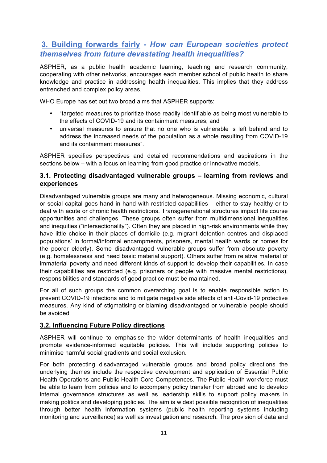# **3. Building forwards fairly** *- How can European societies protect themselves from future devastating health inequalities?*

ASPHER, as a public health academic learning, teaching and research community, cooperating with other networks, encourages each member school of public health to share knowledge and practice in addressing health inequalities. This implies that they address entrenched and complex policy areas.

WHO Europe has set out two broad aims that ASPHER supports:

- "targeted measures to prioritize those readily identifiable as being most vulnerable to the effects of COVID-19 and its containment measures; and
- universal measures to ensure that no one who is vulnerable is left behind and to address the increased needs of the population as a whole resulting from COVID-19 and its containment measures".

ASPHER specifies perspectives and detailed recommendations and aspirations in the sections below – with a focus on learning from good practice or innovative models.

#### **3.1. Protecting disadvantaged vulnerable groups – learning from reviews and experiences**

Disadvantaged vulnerable groups are many and heterogeneous. Missing economic, cultural or social capital goes hand in hand with restricted capabilities – either to stay healthy or to deal with acute or chronic health restrictions. Transgenerational structures impact life course opportunities and challenges. These groups often suffer from multidimensional inequalities and inequities ("intersectionality"). Often they are placed in high-risk environments while they have little choice in their places of domicile (e.g. migrant detention centres and displaced populations' in formal/informal encampments, prisoners, mental health wards or homes for the poorer elderly). Some disadvantaged vulnerable groups suffer from absolute poverty (e.g. homelessness and need basic material support). Others suffer from relative material of immaterial poverty and need different kinds of support to develop their capabilities. In case their capabilities are restricted (e.g. prisoners or people with massive mental restrictions), responsibilities and standards of good practice must be maintained.

For all of such groups the common overarching goal is to enable responsible action to prevent COVID-19 infections and to mitigate negative side effects of anti-Covid-19 protective measures. Any kind of stigmatising or blaming disadvantaged or vulnerable people should be avoided

#### **3.2. Influencing Future Policy directions**

ASPHER will continue to emphasise the wider determinants of health inequalities and promote evidence-informed equitable policies. This will include supporting policies to minimise harmful social gradients and social exclusion.

For both protecting disadvantaged vulnerable groups and broad policy directions the underlying themes include the respective development and application of Essential Public Health Operations and Public Health Core Competences. The Public Health workforce must be able to learn from policies and to accompany policy transfer from abroad and to develop internal governance structures as well as leadership skills to support policy makers in making politics and developing policies. The aim is widest possible recognition of inequalities through better health information systems (public health reporting systems including monitoring and surveillance) as well as investigation and research. The provision of data and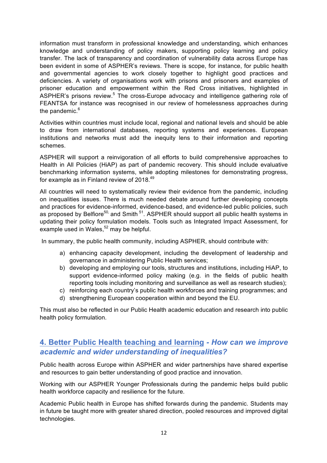information must transform in professional knowledge and understanding, which enhances knowledge and understanding of policy makers, supporting policy learning and policy transfer. The lack of transparency and coordination of vulnerability data across Europe has been evident in some of ASPHER's reviews. There is scope, for instance, for public health and governmental agencies to work closely together to highlight good practices and deficiencies. A variety of organisations work with prisons and prisoners and examples of prisoner education and empowerment within the Red Cross initiatives, highlighted in ASPHER's prisons review.<sup>5</sup> The cross-Europe advocacy and intelligence gathering role of FEANTSA for instance was recognised in our review of homelessness approaches during the pandemic. $6<sup>6</sup>$ 

Activities within countries must include local, regional and national levels and should be able to draw from international databases, reporting systems and experiences. European institutions and networks must add the inequity lens to their information and reporting schemes.

ASPHER will support a reinvigoration of all efforts to build comprehensive approaches to Health in All Policies (HiAP) as part of pandemic recovery. This should include evaluative benchmarking information systems, while adopting milestones for demonstrating progress, for example as in Finland review of 2018.<sup>49</sup>

All countries will need to systematically review their evidence from the pandemic, including on inequalities issues. There is much needed debate around further developing concepts and practices for evidence-informed, evidence-based, and evidence-led public policies, such as proposed by Belfiore<sup>50,</sup> and Smith <sup>51</sup>. ASPHER should support all public health systems in updating their policy formulation models. Tools such as Integrated Impact Assessment, for example used in Wales,<sup>52</sup> may be helpful.

In summary, the public health community, including ASPHER, should contribute with:

- a) enhancing capacity development, including the development of leadership and governance in administering Public Health services;
- b) developing and employing our tools, structures and institutions, including HiAP, to support evidence-informed policy making (e.g. in the fields of public health reporting tools including monitoring and surveillance as well as research studies);
- c) reinforcing each country's public health workforces and training programmes; and
- d) strengthening European cooperation within and beyond the EU.

This must also be reflected in our Public Health academic education and research into public health policy formulation.

# **4. Better Public Health teaching and learning** *- How can we improve academic and wider understanding of inequalities?*

Public health across Europe within ASPHER and wider partnerships have shared expertise and resources to gain better understanding of good practice and innovation.

Working with our ASPHER Younger Professionals during the pandemic helps build public health workforce capacity and resilience for the future.

Academic Public health in Europe has shifted forwards during the pandemic. Students may in future be taught more with greater shared direction, pooled resources and improved digital technologies.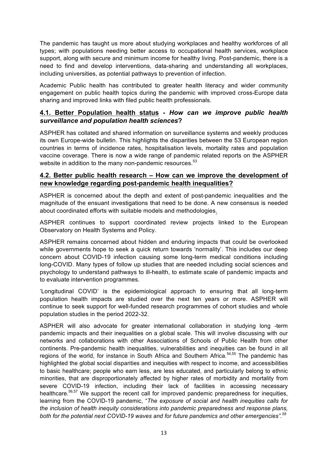The pandemic has taught us more about studying workplaces and healthy workforces of all types; with populations needing better access to occupational health services, workplace support, along with secure and minimum income for healthy living. Post-pandemic, there is a need to find and develop interventions, data-sharing and understanding all workplaces, including universities, as potential pathways to prevention of infection.

Academic Public health has contributed to greater health literacy and wider community engagement on public health topics during the pandemic with improved cross-Europe data sharing and improved links with filed public health professionals.

#### **4.1. Better Population health status** *- How can we improve public health surveillance and population health sciences***?**

ASPHER has collated and shared information on surveillance systems and weekly produces its own Europe-wide bulletin. This highlights the disparities between the 53 European region countries in terms of incidence rates, hospitalisation levels, mortality rates and population vaccine coverage. There is now a wide range of pandemic related reports on the ASPHER website in addition to the many non-pandemic resources.<sup>53</sup>

#### **4.2. Better public health research – How can we improve the development of new knowledge regarding post-pandemic health inequalities?**

ASPHER is concerned about the depth and extent of post-pandemic inequalities and the magnitude of the ensuant investigations that need to be done. A new consensus is needed about coordinated efforts with suitable models and methodologies.

ASPHER continues to support coordinated review projects linked to the European Observatory on Health Systems and Policy.

ASPHER remains concerned about hidden and enduring impacts that could be overlooked while governments hope to seek a quick return towards 'normality'. This includes our deep concern about COVID-19 infection causing some long-term medical conditions including long-COVID. Many types of follow up studies that are needed including social sciences and psychology to understand pathways to ill-health, to estimate scale of pandemic impacts and to evaluate intervention programmes.

'Longitudinal COVID' is the epidemiological approach to ensuring that all long-term population health impacts are studied over the next ten years or more. ASPHER will continue to seek support for well-funded research programmes of cohort studies and whole population studies in the period 2022-32.

ASPHER will also advocate for greater international collaboration in studying long -term pandemic impacts and their inequalities on a global scale. This will involve discussing with our networks and collaborations with other Associations of Schools of Public Health from other continents. Pre-pandemic health inequalities, vulnerabilities and inequities can be found in all regions of the world, for instance in South Africa and Southern Africa.<sup>54,55</sup> The pandemic has highlighted the global social disparities and inequities with respect to income, and accessibilities to basic healthcare; people who earn less, are less educated, and particularly belong to ethnic minorities, that are disproportionately affected by higher rates of morbidity and mortality from severe COVID-19 infection, including their lack of facilities in accessing necessary healthcare.<sup>56,57</sup> We support the recent call for improved pandemic preparedness for inequities, learning from the COVID-19 pandemic, "*The exposure of social and health inequities calls for the inclusion of health inequity considerations into pandemic preparedness and response plans, both for the potential next COVID-19 waves and for future pandemics and other emergencies".<sup>58</sup>*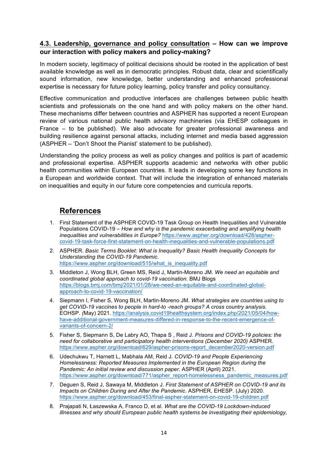#### **4.3. Leadership, governance and policy consultation – How can we improve our interaction with policy makers and policy-making?**

In modern society, legitimacy of political decisions should be rooted in the application of best available knowledge as well as in democratic principles. Robust data, clear and scientifically sound information, new knowledge, better understanding and enhanced professional expertise is necessary for future policy learning, policy transfer and policy consultancy.

Effective communication and productive interfaces are challenges between public health scientists and professionals on the one hand and with policy makers on the other hand. These mechanisms differ between countries and ASPHER has supported a recent European review of various national public health advisory machineries (via EHESP colleagues in France – to be published). We also advocate for greater professional awareness and building resilience against personal attacks, including internet and media based aggression (ASPHER – 'Don't Shoot the Pianist' statement to be published).

Understanding the policy process as well as policy changes and politics is part of academic and professional expertise. ASPHER supports academic and networks with other public health communities within European countries. It leads in developing some key functions in a European and worldwide context. That will include the integration of enhanced materials on inequalities and equity in our future core competencies and curricula reports.

# **References**

- 1. First Statement of the ASPHER COVID-19 Task Group on Health Inequalities and Vulnerable Populations COVID-19 – *How and why is the pandemic exacerbating and amplifying health inequalities and vulnerabilities in Europe?* https://www.aspher.org/download/428/asphercovid-19-task-force-first-statement-on-health-inequalities-and-vulnerable-populations.pdf
- 2. ASPHER. *Basic Terms Booklet: What is Inequality? Basic Health Inequality Concepts for Understanding the COVID-19 Pandemic*. https://www.aspher.org/download/515/what\_is\_inequality.pdf
- 3. Middleton J, Wong BLH, Green MS, Reid J, Martin-Moreno JM*. We need an equitable and coordinated global approach to covid-19 vaccination.* BMJ Blogs https://blogs.bmj.com/bmj/2021/01/28/we-need-an-equitable-and-coordinated-globalapproach-to-covid-19-vaccination/
- 4. Siepmann I, Fisher S, Wong BLH, Martin-Moreno JM. *What strategies are countries using to get COVID-19 vaccines to people in hard-to -reach groups? A cross country analysis.*  EOHSP*. (*May) 2021. https://analysis.covid19healthsystem.org/index.php/2021/05/04/howhave-additional-government-measures-differed-in-response-to-the-recent-emergence-ofvariants-of-concern-2/
- 5. Fisher S, Siepmann S, De Labry AO, Thapa S , Reid J. *Prisons and COVID-19 policies: the need for collaborative and participatory health interventions (December 2020)* ASPHER. https://www.aspher.org/download/629/aspher-prisons-report\_december2020-version.pdf
- 6. Udechukwu T, Harnett L, Mabhala AM, Reid J*. COVID-19 and People Experiencing Homelessness: Reported Measures Implemented in the European Region during the Pandemic: An initial review and discussion paper.* ASPHER (April) 2021. https://www.aspher.org/download/771/aspher\_report-homelessness\_pandemic\_measures.pdf
- 7. Deguen S, Reid J, Sawaya M, Middleton J. *First Statement of ASPHER on COVID-19 and its Impacts on Children During and After the Pandemic*. ASPHER, EHESP. (July) 2020. https://www.aspher.org/download/453/final-aspher-statement-on-covid-19-children.pdf
- 8. Prajapati N, Łaszewska A, Franco D, et al. *What are the COVID-19 Lockdown-induced illnesses and why should European public health systems be investigating their epidemiology,*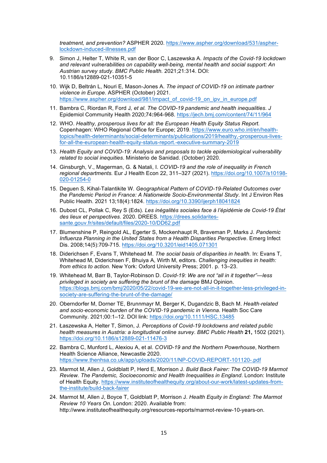*treatment, and prevention?* ASPHER 2020. https://www.aspher.org/download/531/aspherlockdown-induced-illnesses.pdf

- 9. Simon J, Helter T, White R, van der Boor C, Laszewska A. *Impacts of the Covid-19 lockdown and relevant vulnerabilities on capability well-being, mental health and social support: An Austrian survey study*. *BMC Public Health.* 2021;21:314. DOI: 10.1186/s12889-021-10351-5
- 10. Wijk D, Beltrán L, Nouri E, Mason-Jones A. *The impact of COVID-19 on intimate partner violence in Europe*. ASPHER (October) 2021. https://www.aspher.org/download/981/impact\_of\_covid-19\_on\_ipv\_in\_europe.pdf
- 11. Bambra C, Riordan R, Ford J*, et al. The COVID-19 pandemic and health inequalities*. *J*  Epidemiol Community Health 2020;74**:**964-968. https://jech.bmj.com/content/74/11/964
- 12. WHO. *Healthy, prosperous lives for all: the European Health Equity Status Report.*  Copenhagen: WHO Regional Office for Europe; 2019. https://www.euro.who.int/en/healthtopics/health-determinants/social-determinants/publications/2019/healthy,-prosperous-livesfor-all-the-european-health-equity-status-report.-executive-summary-2019
- 13. *Health Equity and COVID-19: Analysis and proposals to tackle epidemiological vulnerability related to social inequities*. Ministerio de Sanidad. (October) 2020.
- 14. Ginsburgh, V., Magerman, G. & Natali, I. *COVID-19 and the role of inequality in French regional departments.* Eur J Health Econ 22, 311–327 (2021). https://doi.org/10.1007/s10198- 020-01254-0
- 15. Deguen S, Kihal-Talantikite W. *Geographical Pattern of COVID-19-Related Outcomes over the Pandemic Period in France: A Nationwide Socio-Environmental Study*. Int J Environ Res Public Health. 2021 13;18(4):1824. https://doi.org/10.3390/ijerph18041824
- 16. Dubost CL, Pollak C, Rey S (Eds). *Les inégalités sociales face à l'épidémie de Covid-19 État des lieux et perspectives*. 2020. DREES. https://drees.solidaritessante.gouv.fr/sites/default/files/2020-10/DD62.pdf
- 17. Blumenshine P, Reingold AL, Egerter S, Mockenhaupt R, Braveman P, Marks J. *Pandemic Influenza Planning in the United States from a Health Disparities Perspective*. Emerg Infect Dis. 2008;14(5):709-715. https://doi.org/10.3201/eid1405.071301
- 18. Diderichsen F, Evans T, Whitehead M. *The social basis of disparities in health*. In: Evans T, Whitehead M, Diderichsen F, Bhuiya A, Wirth M, editors. *Challenging inequities in health: from ethics to action.* New York: Oxford University Press; 2001. p. 13–23.
- 19. Whitehead M, Barr B, Taylor-Robinson D. *Covid-19: We are not "all in it together"—less privileged in society are suffering the brunt of the damage* BMJ Opinion. https://blogs.bmj.com/bmj/2020/05/22/covid-19-we-are-not-all-in-it-together-less-privileged-insociety-are-suffering-the-brunt-of-the-damage/
- 20. Oberndorfer M, Dorner TE, Brunnmayr M, Berger K, Dugandzic B, Bach M. *Health*‐*related and socio*‐*economic burden of the COVID*‐*19 pandemic in Vienna*. Health Soc Care Community. 2021;00:1–12. DOI link: https://doi.org/10.1111/HSC.13485
- 21. Łaszewska A, Helter T, Simon, J. *Perceptions of Covid-19 lockdowns and related public health measures in Austria: a longitudinal online survey*. *BMC Public Health* **21,** 1502 (2021). https://doi.org/10.1186/s12889-021-11476-3
- 22. Bambra C, Munford L, Alexiou A, et al. *COVID-19 and the Northern Powerhouse*, Northern Health Science Alliance, Newcastle 2020. https://www.thenhsa.co.uk/app/uploads/2020/11/NP-COVID-REPORT-101120-.pdf
- 23. Marmot M, Allen J, Goldblatt P, Herd E, Morrison J. *Build Back Fairer: The COVID-19 Marmot Review. The Pandemic, Socioeconomic and Health Inequalities in England*. London: Institute of Health Equity. https://www.instituteofhealthequity.org/about-our-work/latest-updates-fromthe-institute/build-back-fairer
- 24. Marmot M, Allen J, Boyce T, Goldblatt P, Morrison J. *Health Equity in England: The Marmot Review 10 Years On*. London: 2020. Available from: http://www.instituteofhealthequity.org/resources-reports/marmot-review-10-years-on.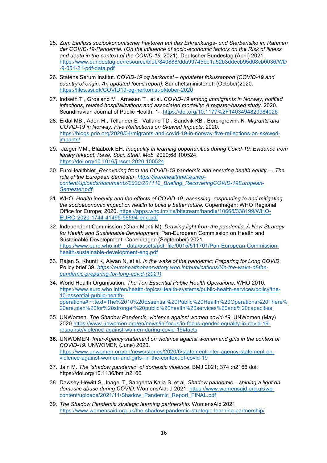- 25. *Zum Einfluss sozioökonomischer Faktoren auf das Erkrankungs- und Sterberisiko im Rahmen der COVID-19-Pandemie.* (*On the influence of socio-economic factors on the Risk of illness and death in the context of the COVID-19.* 2021). Deutscher Bundestag (April) 2021. https://www.bundestag.de/resource/blob/840888/dda99745be1a52b3ddecb95d08cb0036/WD -9-051-21-pdf-data.pdf
- 26. Statens Serum Institut*. COVID-19 og herkomst – opdateret fokusrapport [COVID-19 and country of origin. An updated focus report].* Sundhetsministeriet, (October)2020*.*  https://files.ssi.dk/COVID19-og-herkomst-oktober-2020
- 27. Indseth T , Grøsland M , Arnesen T , et al*. COVID-19 among immigrants in Norway, notified infections, related hospitalizations and associated mortality: A register-based study.* 2020. Scandinavian Journal of Public Health, 1–.https://doi.org/10.1177%2F1403494820984026
- 28. Erdal MB , Aden H , Tellander E , Valland TD , Sandvik KB , Borchgrevink K. *Migrants and COVID-19 in Norway: Five Reflections on Skewed Impacts*. 2020. https://blogs.prio.org/2020/04/migrants-and-covid-19-in-norway-five-reflections-on-skewedimpacts/
- 29. Jæger MM., Blaabæk EH. *Inequality in learning opportunities during Covid-19: Evidence from library takeout*. *Rese. Soci. Strati. Mob.* 2020;68:100524. https://doi.org/10.1016/j.rssm.2020.100524
- 30. EuroHealthNet. *Recovering from the COVID-19 pandemic and ensuring health equity — The role of the European Semester. https://eurohealthnet.eu/wpcontent/uploads/documents/2020/201112\_Briefing\_RecoveringCOVID-19European-Semester.pdf*
- 31. WHO. *Health inequity and the effects of COVID*‑*19: assessing, responding to and mitigating the socioeconomic impact on health to build a better future.* Copenhagen: WHO Regional Office for Europe; 2020. https://apps.who.int/iris/bitstream/handle/10665/338199/WHO-EURO-2020-1744-41495-56594-eng.pdf
- 32. Independent Commission (Chair Monti M). *Drawing light from the pandemic. A New Strategy for Health and Sustainable Development.* Pan-European Commission on Health and Sustainable Development. Copenhagen (September) 2021. https://www.euro.who.int/ data/assets/pdf\_file/0015/511701/Pan-European-Commissionhealth-sustainable-development-eng.pdf
- 33. Rajan S, Khunti K, Alwan N, et al. *In the wake of the pandemic; Preparing for Long COVID*. Policy brief 39. *https://eurohealthobservatory.who.int/publications/i/in-the-wake-of-thepandemic-preparing-for-long-covid-(2021)*
- 34. World Health Organisation. *The Ten Essential Public Health Operations*. WHO 2010. https://www.euro.who.int/en/health-topics/Health-systems/public-health-services/policy/the-10-essential-public-healthoperations#:~:text=The%2010%20Essential%20Public%20Health%20Operations%20There% 20are,plan%20for%20stronger%20public%20health%20services%20and%20capacities.
- 35. UNWomen. *The Shadow Pandemic, violence against women covid-19.* UNWomen (May) 2020 https://www.unwomen.org/en/news/in-focus/in-focus-gender-equality-in-covid-19 response/violence-against-women-during-covid-19#facts
- **36.** UNWOMEN. *Inter-Agency statement on violence against women and girls in the context of COVID-19.* UNWOMEN (June) 2020. https://www.unwomen.org/en/news/stories/2020/6/statement-inter-agency-statement-onviolence-against-women-and-girls--in-the-context-of-covid-19
- 37. Jain M. *The "shadow pandemic" of domestic violence*. BMJ 2021; 374 :n2166 doi: https://doi.org/10.1136/bmj.n2166
- 38. Dawsey-Hewitt S, Jnagel T, Sangeeta Kalia S, et al. *Shadow pandemic – shining a light on domestic abuse during COVID.* WomensAid. d 2021. https://www.womensaid.org.uk/wpcontent/uploads/2021/11/Shadow\_Pandemic\_Report\_FINAL.pdf
- 39. *The Shadow Pandemic strategic learning partnership*. WomensAid 2021. https://www.womensaid.org.uk/the-shadow-pandemic-strategic-learning-partnership/